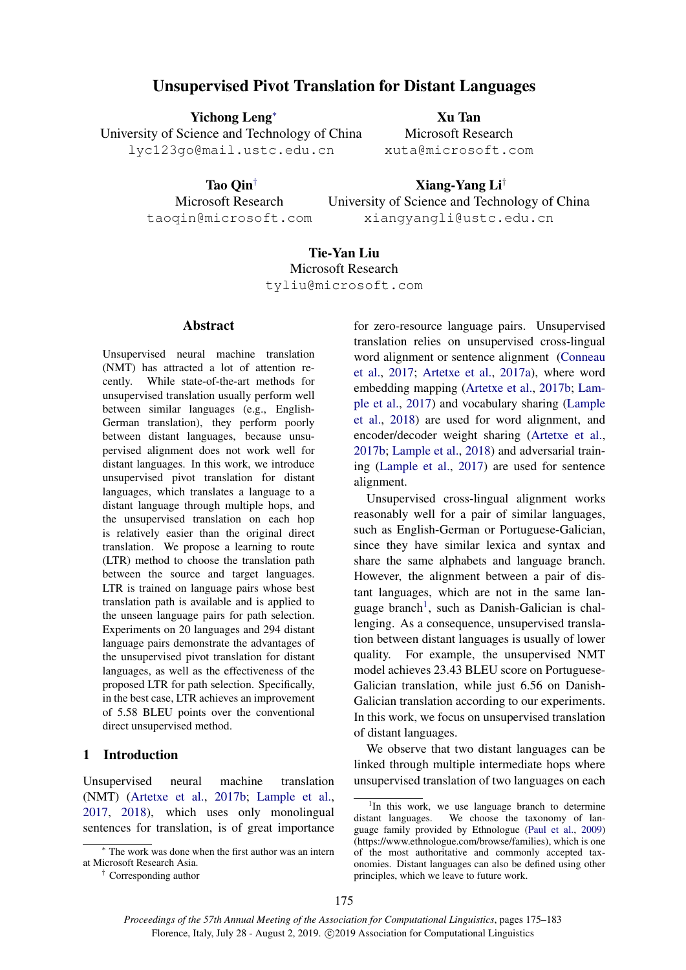# Unsupervised Pivot Translation for Distant Languages

Yichong Leng<sup>∗</sup> University of Science and Technology of China lyc123go@mail.ustc.edu.cn

> Tao Qin† Microsoft Research taoqin@microsoft.com

Xu Tan Microsoft Research xuta@microsoft.com

Xiang-Yang Li† University of Science and Technology of China xiangyangli@ustc.edu.cn

# Tie-Yan Liu Microsoft Research tyliu@microsoft.com

### **Abstract**

Unsupervised neural machine translation (NMT) has attracted a lot of attention recently. While state-of-the-art methods for unsupervised translation usually perform well between similar languages (e.g., English-German translation), they perform poorly between distant languages, because unsupervised alignment does not work well for distant languages. In this work, we introduce unsupervised pivot translation for distant languages, which translates a language to a distant language through multiple hops, and the unsupervised translation on each hop is relatively easier than the original direct translation. We propose a learning to route (LTR) method to choose the translation path between the source and target languages. LTR is trained on language pairs whose best translation path is available and is applied to the unseen language pairs for path selection. Experiments on 20 languages and 294 distant language pairs demonstrate the advantages of the unsupervised pivot translation for distant languages, as well as the effectiveness of the proposed LTR for path selection. Specifically, in the best case, LTR achieves an improvement of 5.58 BLEU points over the conventional direct unsupervised method.

## 1 Introduction

Unsupervised neural machine translation (NMT) [\(Artetxe et al.,](#page-8-0) [2017b;](#page-8-0) [Lample et al.,](#page-8-1) [2017,](#page-8-1) [2018\)](#page-8-2), which uses only monolingual sentences for translation, is of great importance

for zero-resource language pairs. Unsupervised translation relies on unsupervised cross-lingual word alignment or sentence alignment [\(Conneau](#page-8-3) [et al.,](#page-8-3) [2017;](#page-8-3) [Artetxe et al.,](#page-8-4) [2017a\)](#page-8-4), where word embedding mapping [\(Artetxe et al.,](#page-8-0) [2017b;](#page-8-0) [Lam](#page-8-1)[ple et al.,](#page-8-1) [2017\)](#page-8-1) and vocabulary sharing [\(Lample](#page-8-2) [et al.,](#page-8-2) [2018\)](#page-8-2) are used for word alignment, and encoder/decoder weight sharing [\(Artetxe et al.,](#page-8-0) [2017b;](#page-8-0) [Lample et al.,](#page-8-2) [2018\)](#page-8-2) and adversarial training [\(Lample et al.,](#page-8-1) [2017\)](#page-8-1) are used for sentence alignment.

Unsupervised cross-lingual alignment works reasonably well for a pair of similar languages, such as English-German or Portuguese-Galician, since they have similar lexica and syntax and share the same alphabets and language branch. However, the alignment between a pair of distant languages, which are not in the same lan-guage branch<sup>[1](#page-0-0)</sup>, such as Danish-Galician is challenging. As a consequence, unsupervised translation between distant languages is usually of lower quality. For example, the unsupervised NMT model achieves 23.43 BLEU score on Portuguese-Galician translation, while just 6.56 on Danish-Galician translation according to our experiments. In this work, we focus on unsupervised translation of distant languages.

We observe that two distant languages can be linked through multiple intermediate hops where unsupervised translation of two languages on each

<sup>∗</sup> The work was done when the first author was an intern at Microsoft Research Asia.

<sup>†</sup> Corresponding author

<span id="page-0-0"></span><sup>&</sup>lt;sup>1</sup>In this work, we use language branch to determine distant languages. We choose the taxonomy of language family provided by Ethnologue [\(Paul et al.,](#page-8-5) [2009\)](#page-8-5) (https://www.ethnologue.com/browse/families), which is one of the most authoritative and commonly accepted taxonomies. Distant languages can also be defined using other principles, which we leave to future work.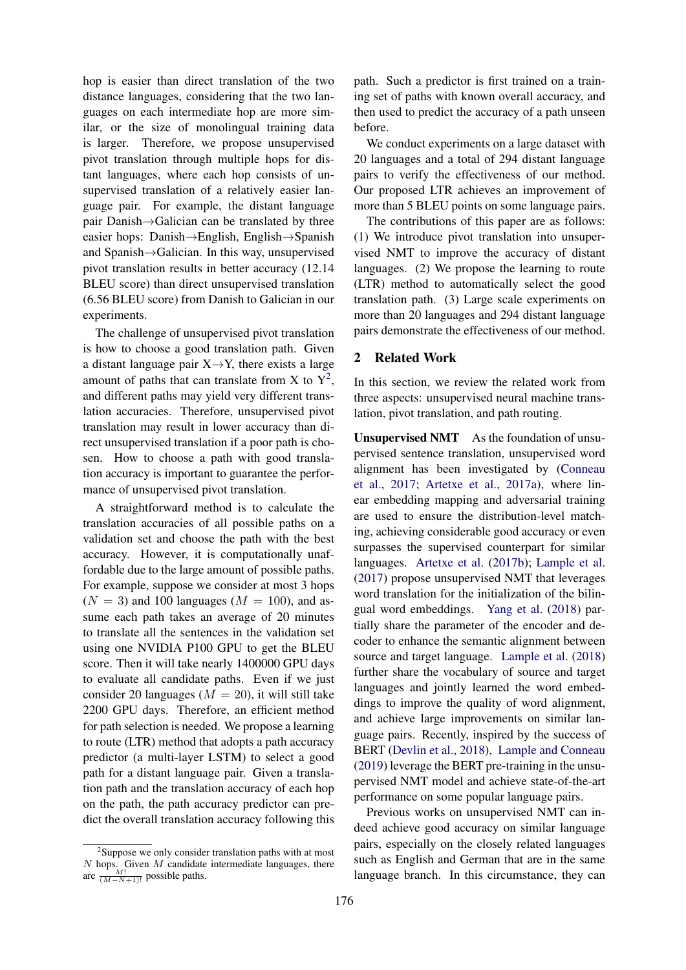hop is easier than direct translation of the two distance languages, considering that the two languages on each intermediate hop are more similar, or the size of monolingual training data is larger. Therefore, we propose unsupervised pivot translation through multiple hops for distant languages, where each hop consists of unsupervised translation of a relatively easier language pair. For example, the distant language pair Danish→Galician can be translated by three easier hops: Danish→English, English→Spanish and Spanish→Galician. In this way, unsupervised pivot translation results in better accuracy (12.14 BLEU score) than direct unsupervised translation (6.56 BLEU score) from Danish to Galician in our experiments.

The challenge of unsupervised pivot translation is how to choose a good translation path. Given a distant language pair  $X \rightarrow Y$ , there exists a large amount of paths that can translate from X to  $Y^2$  $Y^2$ , and different paths may yield very different translation accuracies. Therefore, unsupervised pivot translation may result in lower accuracy than direct unsupervised translation if a poor path is chosen. How to choose a path with good translation accuracy is important to guarantee the performance of unsupervised pivot translation.

A straightforward method is to calculate the translation accuracies of all possible paths on a validation set and choose the path with the best accuracy. However, it is computationally unaffordable due to the large amount of possible paths. For example, suppose we consider at most 3 hops  $(N = 3)$  and 100 languages  $(M = 100)$ , and assume each path takes an average of 20 minutes to translate all the sentences in the validation set using one NVIDIA P100 GPU to get the BLEU score. Then it will take nearly 1400000 GPU days to evaluate all candidate paths. Even if we just consider 20 languages ( $M = 20$ ), it will still take 2200 GPU days. Therefore, an efficient method for path selection is needed. We propose a learning to route (LTR) method that adopts a path accuracy predictor (a multi-layer LSTM) to select a good path for a distant language pair. Given a translation path and the translation accuracy of each hop on the path, the path accuracy predictor can predict the overall translation accuracy following this

<span id="page-1-0"></span><sup>2</sup>Suppose we only consider translation paths with at most  $N$  hops. Given  $M$  candidate intermediate languages, there are  $\frac{M!}{(M-N+1)!}$  possible paths.

path. Such a predictor is first trained on a training set of paths with known overall accuracy, and then used to predict the accuracy of a path unseen before.

We conduct experiments on a large dataset with 20 languages and a total of 294 distant language pairs to verify the effectiveness of our method. Our proposed LTR achieves an improvement of more than 5 BLEU points on some language pairs.

The contributions of this paper are as follows: (1) We introduce pivot translation into unsupervised NMT to improve the accuracy of distant languages. (2) We propose the learning to route (LTR) method to automatically select the good translation path. (3) Large scale experiments on more than 20 languages and 294 distant language pairs demonstrate the effectiveness of our method.

# 2 Related Work

In this section, we review the related work from three aspects: unsupervised neural machine translation, pivot translation, and path routing.

Unsupervised NMT As the foundation of unsupervised sentence translation, unsupervised word alignment has been investigated by [\(Conneau](#page-8-3) [et al.,](#page-8-3) [2017;](#page-8-3) [Artetxe et al.,](#page-8-4) [2017a\)](#page-8-4), where linear embedding mapping and adversarial training are used to ensure the distribution-level matching, achieving considerable good accuracy or even surpasses the supervised counterpart for similar languages. [Artetxe et al.](#page-8-0) [\(2017b\)](#page-8-0); [Lample et al.](#page-8-1) [\(2017\)](#page-8-1) propose unsupervised NMT that leverages word translation for the initialization of the bilingual word embeddings. [Yang et al.](#page-8-6) [\(2018\)](#page-8-6) partially share the parameter of the encoder and decoder to enhance the semantic alignment between source and target language. [Lample et al.](#page-8-2) [\(2018\)](#page-8-2) further share the vocabulary of source and target languages and jointly learned the word embeddings to improve the quality of word alignment, and achieve large improvements on similar language pairs. Recently, inspired by the success of BERT [\(Devlin et al.,](#page-8-7) [2018\)](#page-8-7), [Lample and Conneau](#page-8-8) [\(2019\)](#page-8-8) leverage the BERT pre-training in the unsupervised NMT model and achieve state-of-the-art performance on some popular language pairs.

Previous works on unsupervised NMT can indeed achieve good accuracy on similar language pairs, especially on the closely related languages such as English and German that are in the same language branch. In this circumstance, they can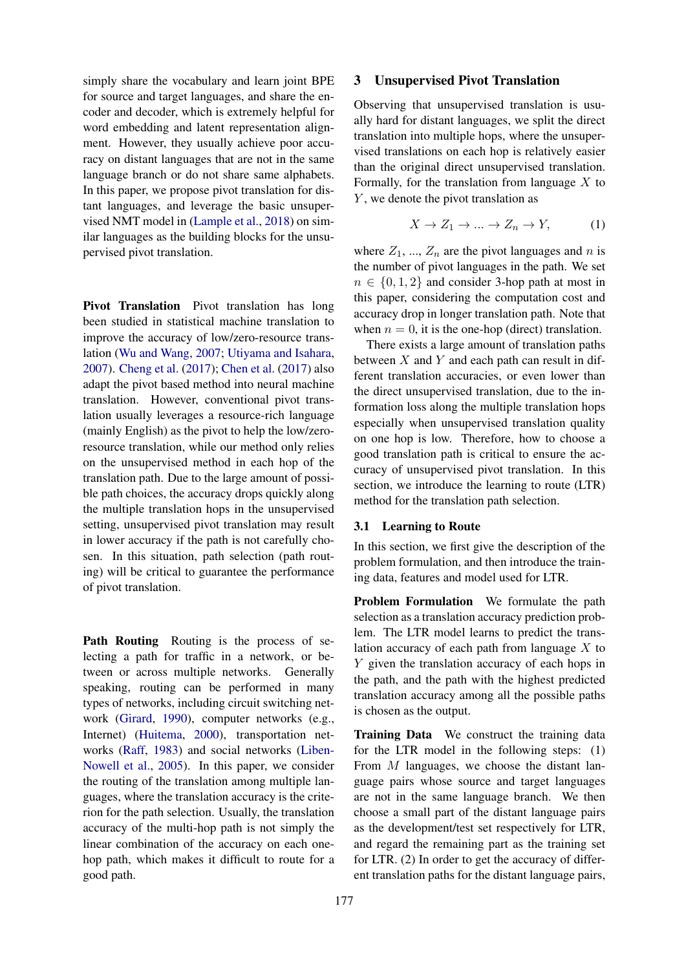simply share the vocabulary and learn joint BPE for source and target languages, and share the encoder and decoder, which is extremely helpful for word embedding and latent representation alignment. However, they usually achieve poor accuracy on distant languages that are not in the same language branch or do not share same alphabets. In this paper, we propose pivot translation for distant languages, and leverage the basic unsupervised NMT model in [\(Lample et al.,](#page-8-2) [2018\)](#page-8-2) on similar languages as the building blocks for the unsupervised pivot translation.

Pivot Translation Pivot translation has long been studied in statistical machine translation to improve the accuracy of low/zero-resource translation [\(Wu and Wang,](#page-8-9) [2007;](#page-8-9) [Utiyama and Isahara,](#page-8-10) [2007\)](#page-8-10). [Cheng et al.](#page-8-11) [\(2017\)](#page-8-11); [Chen et al.](#page-8-12) [\(2017\)](#page-8-12) also adapt the pivot based method into neural machine translation. However, conventional pivot translation usually leverages a resource-rich language (mainly English) as the pivot to help the low/zeroresource translation, while our method only relies on the unsupervised method in each hop of the translation path. Due to the large amount of possible path choices, the accuracy drops quickly along the multiple translation hops in the unsupervised setting, unsupervised pivot translation may result in lower accuracy if the path is not carefully chosen. In this situation, path selection (path routing) will be critical to guarantee the performance of pivot translation.

Path Routing Routing is the process of selecting a path for traffic in a network, or between or across multiple networks. Generally speaking, routing can be performed in many types of networks, including circuit switching network [\(Girard,](#page-8-13) [1990\)](#page-8-13), computer networks (e.g., Internet) [\(Huitema,](#page-8-14) [2000\)](#page-8-14), transportation networks [\(Raff,](#page-8-15) [1983\)](#page-8-15) and social networks [\(Liben-](#page-8-16)[Nowell et al.,](#page-8-16) [2005\)](#page-8-16). In this paper, we consider the routing of the translation among multiple languages, where the translation accuracy is the criterion for the path selection. Usually, the translation accuracy of the multi-hop path is not simply the linear combination of the accuracy on each onehop path, which makes it difficult to route for a good path.

#### <span id="page-2-1"></span>3 Unsupervised Pivot Translation

Observing that unsupervised translation is usually hard for distant languages, we split the direct translation into multiple hops, where the unsupervised translations on each hop is relatively easier than the original direct unsupervised translation. Formally, for the translation from language  $X$  to Y, we denote the pivot translation as

$$
X \to Z_1 \to \dots \to Z_n \to Y,\tag{1}
$$

where  $Z_1$ , ...,  $Z_n$  are the pivot languages and n is the number of pivot languages in the path. We set  $n \in \{0, 1, 2\}$  and consider 3-hop path at most in this paper, considering the computation cost and accuracy drop in longer translation path. Note that when  $n = 0$ , it is the one-hop (direct) translation.

There exists a large amount of translation paths between  $X$  and  $Y$  and each path can result in different translation accuracies, or even lower than the direct unsupervised translation, due to the information loss along the multiple translation hops especially when unsupervised translation quality on one hop is low. Therefore, how to choose a good translation path is critical to ensure the accuracy of unsupervised pivot translation. In this section, we introduce the learning to route (LTR) method for the translation path selection.

#### <span id="page-2-0"></span>3.1 Learning to Route

In this section, we first give the description of the problem formulation, and then introduce the training data, features and model used for LTR.

Problem Formulation We formulate the path selection as a translation accuracy prediction problem. The LTR model learns to predict the translation accuracy of each path from language  $X$  to Y given the translation accuracy of each hops in the path, and the path with the highest predicted translation accuracy among all the possible paths is chosen as the output.

Training Data We construct the training data for the LTR model in the following steps: (1) From M languages, we choose the distant language pairs whose source and target languages are not in the same language branch. We then choose a small part of the distant language pairs as the development/test set respectively for LTR, and regard the remaining part as the training set for LTR. (2) In order to get the accuracy of different translation paths for the distant language pairs,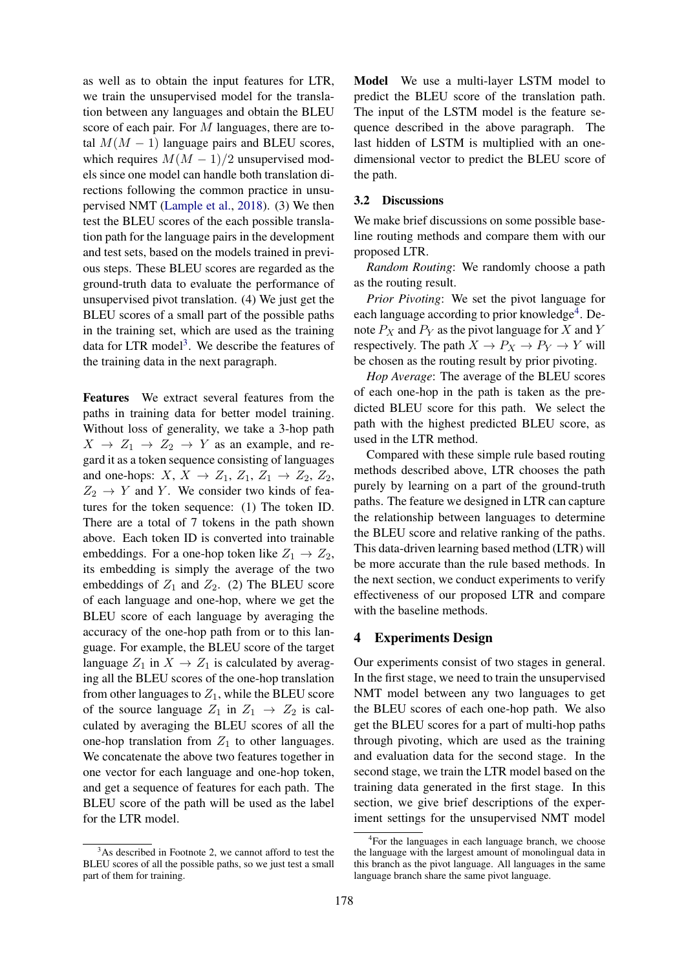as well as to obtain the input features for LTR, we train the unsupervised model for the translation between any languages and obtain the BLEU score of each pair. For M languages, there are total  $M(M - 1)$  language pairs and BLEU scores, which requires  $M(M-1)/2$  unsupervised models since one model can handle both translation directions following the common practice in unsupervised NMT [\(Lample et al.,](#page-8-2) [2018\)](#page-8-2). (3) We then test the BLEU scores of the each possible translation path for the language pairs in the development and test sets, based on the models trained in previous steps. These BLEU scores are regarded as the ground-truth data to evaluate the performance of unsupervised pivot translation. (4) We just get the BLEU scores of a small part of the possible paths in the training set, which are used as the training data for LTR model<sup>[3](#page-3-0)</sup>. We describe the features of the training data in the next paragraph.

Features We extract several features from the paths in training data for better model training. Without loss of generality, we take a 3-hop path  $X \rightarrow Z_1 \rightarrow Z_2 \rightarrow Y$  as an example, and regard it as a token sequence consisting of languages and one-hops:  $X, X \rightarrow Z_1, Z_1, Z_1 \rightarrow Z_2, Z_2$ ,  $Z_2 \rightarrow Y$  and Y. We consider two kinds of features for the token sequence: (1) The token ID. There are a total of 7 tokens in the path shown above. Each token ID is converted into trainable embeddings. For a one-hop token like  $Z_1 \rightarrow Z_2$ , its embedding is simply the average of the two embeddings of  $Z_1$  and  $Z_2$ . (2) The BLEU score of each language and one-hop, where we get the BLEU score of each language by averaging the accuracy of the one-hop path from or to this language. For example, the BLEU score of the target language  $Z_1$  in  $X \to Z_1$  is calculated by averaging all the BLEU scores of the one-hop translation from other languages to  $Z_1$ , while the BLEU score of the source language  $Z_1$  in  $Z_1 \rightarrow Z_2$  is calculated by averaging the BLEU scores of all the one-hop translation from  $Z_1$  to other languages. We concatenate the above two features together in one vector for each language and one-hop token, and get a sequence of features for each path. The BLEU score of the path will be used as the label for the LTR model.

Model We use a multi-layer LSTM model to predict the BLEU score of the translation path. The input of the LSTM model is the feature sequence described in the above paragraph. The last hidden of LSTM is multiplied with an onedimensional vector to predict the BLEU score of the path.

### 3.2 Discussions

We make brief discussions on some possible baseline routing methods and compare them with our proposed LTR.

*Random Routing*: We randomly choose a path as the routing result.

*Prior Pivoting*: We set the pivot language for each language according to prior knowledge<sup>[4](#page-3-1)</sup>. Denote  $P_X$  and  $P_Y$  as the pivot language for X and Y respectively. The path  $X \to P_X \to P_Y \to Y$  will be chosen as the routing result by prior pivoting.

*Hop Average*: The average of the BLEU scores of each one-hop in the path is taken as the predicted BLEU score for this path. We select the path with the highest predicted BLEU score, as used in the LTR method.

Compared with these simple rule based routing methods described above, LTR chooses the path purely by learning on a part of the ground-truth paths. The feature we designed in LTR can capture the relationship between languages to determine the BLEU score and relative ranking of the paths. This data-driven learning based method (LTR) will be more accurate than the rule based methods. In the next section, we conduct experiments to verify effectiveness of our proposed LTR and compare with the baseline methods.

## 4 Experiments Design

Our experiments consist of two stages in general. In the first stage, we need to train the unsupervised NMT model between any two languages to get the BLEU scores of each one-hop path. We also get the BLEU scores for a part of multi-hop paths through pivoting, which are used as the training and evaluation data for the second stage. In the second stage, we train the LTR model based on the training data generated in the first stage. In this section, we give brief descriptions of the experiment settings for the unsupervised NMT model

<span id="page-3-0"></span> $3$ As described in Footnote 2, we cannot afford to test the BLEU scores of all the possible paths, so we just test a small part of them for training.

<span id="page-3-1"></span><sup>&</sup>lt;sup>4</sup>For the languages in each language branch, we choose the language with the largest amount of monolingual data in this branch as the pivot language. All languages in the same language branch share the same pivot language.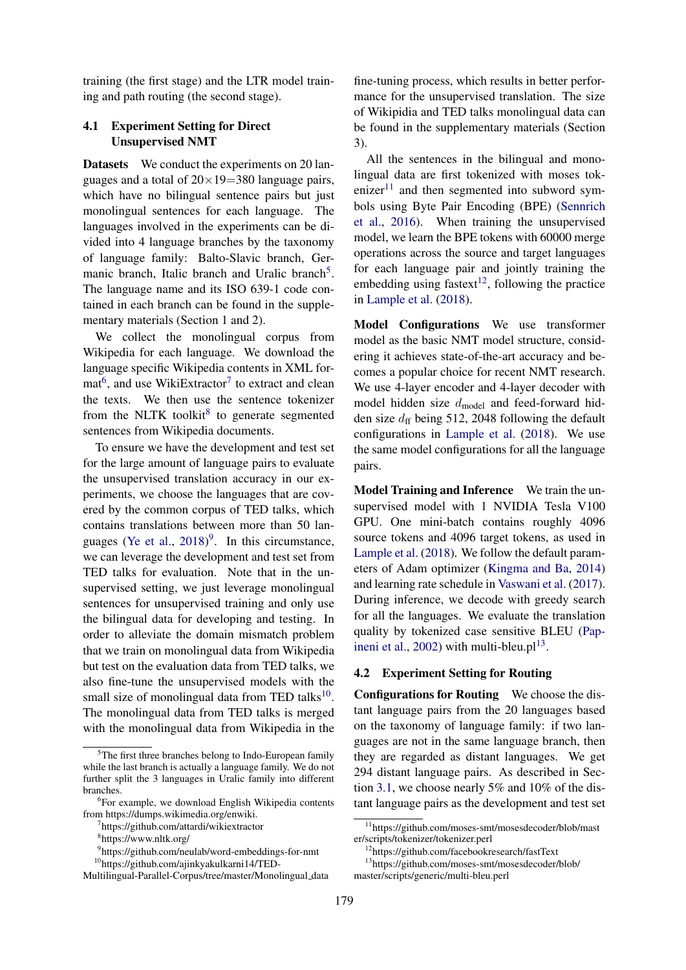training (the first stage) and the LTR model training and path routing (the second stage).

# <span id="page-4-9"></span>4.1 Experiment Setting for Direct Unsupervised NMT

Datasets We conduct the experiments on 20 languages and a total of  $20 \times 19 = 380$  language pairs, which have no bilingual sentence pairs but just monolingual sentences for each language. The languages involved in the experiments can be divided into 4 language branches by the taxonomy of language family: Balto-Slavic branch, Ger-manic branch, Italic branch and Uralic branch<sup>[5](#page-4-0)</sup>. The language name and its ISO 639-1 code contained in each branch can be found in the supplementary materials (Section 1 and 2).

We collect the monolingual corpus from Wikipedia for each language. We download the language specific Wikipedia contents in XML for- $\text{mat}^6$  $\text{mat}^6$ , and use WikiExtractor<sup>[7](#page-4-2)</sup> to extract and clean the texts. We then use the sentence tokenizer from the NLTK toolkit $8$  to generate segmented sentences from Wikipedia documents.

To ensure we have the development and test set for the large amount of language pairs to evaluate the unsupervised translation accuracy in our experiments, we choose the languages that are covered by the common corpus of TED talks, which contains translations between more than 50 lan-guages [\(Ye et al.,](#page-8-17)  $2018$ <sup>[9](#page-4-4)</sup>. In this circumstance, we can leverage the development and test set from TED talks for evaluation. Note that in the unsupervised setting, we just leverage monolingual sentences for unsupervised training and only use the bilingual data for developing and testing. In order to alleviate the domain mismatch problem that we train on monolingual data from Wikipedia but test on the evaluation data from TED talks, we also fine-tune the unsupervised models with the small size of monolingual data from TED talks $^{10}$  $^{10}$  $^{10}$ . The monolingual data from TED talks is merged with the monolingual data from Wikipedia in the

fine-tuning process, which results in better performance for the unsupervised translation. The size of Wikipidia and TED talks monolingual data can be found in the supplementary materials (Section 3).

All the sentences in the bilingual and monolingual data are first tokenized with moses tok-enizer<sup>[11](#page-4-6)</sup> and then segmented into subword symbols using Byte Pair Encoding (BPE) [\(Sennrich](#page-8-18) [et al.,](#page-8-18) [2016\)](#page-8-18). When training the unsupervised model, we learn the BPE tokens with 60000 merge operations across the source and target languages for each language pair and jointly training the embedding using fastext $12$ , following the practice in [Lample et al.](#page-8-2) [\(2018\)](#page-8-2).

Model Configurations We use transformer model as the basic NMT model structure, considering it achieves state-of-the-art accuracy and becomes a popular choice for recent NMT research. We use 4-layer encoder and 4-layer decoder with model hidden size  $d_{model}$  and feed-forward hidden size  $d_{\rm ff}$  being 512, 2048 following the default configurations in [Lample et al.](#page-8-2) [\(2018\)](#page-8-2). We use the same model configurations for all the language pairs.

Model Training and Inference We train the unsupervised model with 1 NVIDIA Tesla V100 GPU. One mini-batch contains roughly 4096 source tokens and 4096 target tokens, as used in [Lample et al.](#page-8-2) [\(2018\)](#page-8-2). We follow the default parameters of Adam optimizer [\(Kingma and Ba,](#page-8-19) [2014\)](#page-8-19) and learning rate schedule in [Vaswani et al.](#page-8-20) [\(2017\)](#page-8-20). During inference, we decode with greedy search for all the languages. We evaluate the translation quality by tokenized case sensitive BLEU [\(Pap](#page-8-21)[ineni et al.,](#page-8-21) [2002\)](#page-8-21) with multi-bleu. $pl<sup>13</sup>$  $pl<sup>13</sup>$  $pl<sup>13</sup>$ .

# 4.2 Experiment Setting for Routing

Configurations for Routing We choose the distant language pairs from the 20 languages based on the taxonomy of language family: if two languages are not in the same language branch, then they are regarded as distant languages. We get 294 distant language pairs. As described in Section [3.1,](#page-2-0) we choose nearly 5% and 10% of the distant language pairs as the development and test set

<span id="page-4-0"></span><sup>&</sup>lt;sup>5</sup>The first three branches belong to Indo-European family while the last branch is actually a language family. We do not further split the 3 languages in Uralic family into different branches.

<span id="page-4-1"></span><sup>6</sup> For example, we download English Wikipedia contents from https://dumps.wikimedia.org/enwiki.

<span id="page-4-2"></span><sup>7</sup> https://github.com/attardi/wikiextractor

<span id="page-4-3"></span><sup>8</sup> https://www.nltk.org/

<span id="page-4-5"></span><span id="page-4-4"></span><sup>9</sup> https://github.com/neulab/word-embeddings-for-nmt

<sup>10</sup>https://github.com/ajinkyakulkarni14/TED-

Multilingual-Parallel-Corpus/tree/master/Monolingual\_data

<span id="page-4-6"></span><sup>11</sup>https://github.com/moses-smt/mosesdecoder/blob/mast er/scripts/tokenizer/tokenizer.perl

<span id="page-4-8"></span><span id="page-4-7"></span><sup>12</sup>https://github.com/facebookresearch/fastText

<sup>13</sup>https://github.com/moses-smt/mosesdecoder/blob/ master/scripts/generic/multi-bleu.perl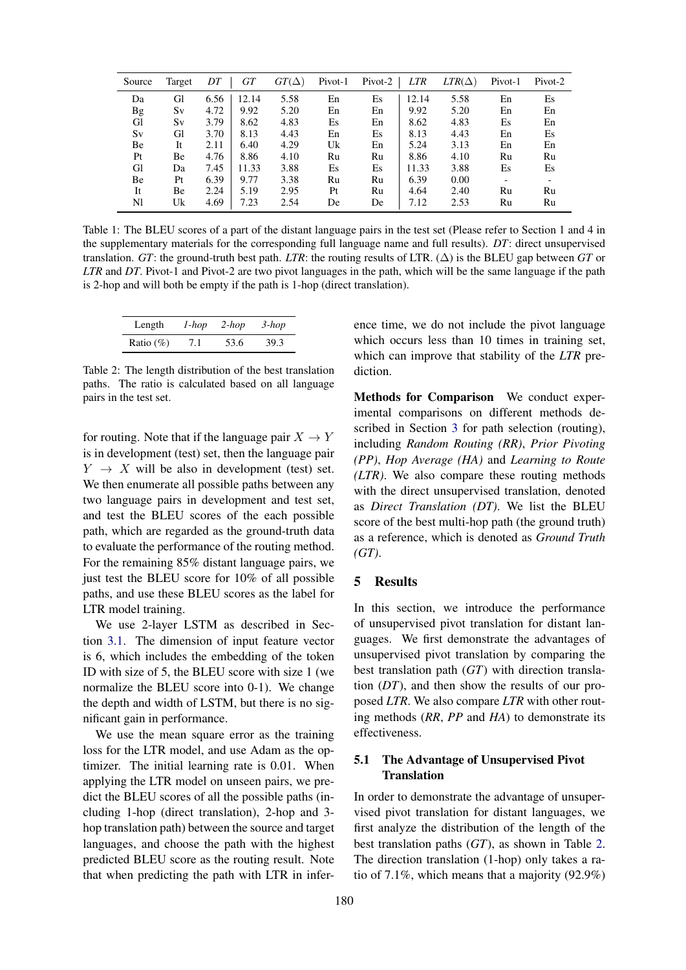<span id="page-5-1"></span>

| Source | Target | DT   | GT    | $GT(\Delta)$ | Pivot-1 | Pivot-2 | <b>LTR</b> | $LTR(\Delta)$ | Pivot-1 | Pivot-2 |
|--------|--------|------|-------|--------------|---------|---------|------------|---------------|---------|---------|
| Da     | Gl     | 6.56 | 12.14 | 5.58         | En      | Es      | 12.14      | 5.58          | En      | Es      |
| Bg     | Sv     | 4.72 | 9.92  | 5.20         | En      | En      | 9.92       | 5.20          | En      | En      |
| Gl     | Sv     | 3.79 | 8.62  | 4.83         | Es      | En      | 8.62       | 4.83          | Es      | En      |
| Sv     | Gl     | 3.70 | 8.13  | 4.43         | En      | Es      | 8.13       | 4.43          | En      | Es      |
| Вe     | It     | 2.11 | 6.40  | 4.29         | Uk      | En      | 5.24       | 3.13          | En      | En      |
| Pt     | Вe     | 4.76 | 8.86  | 4.10         | Ru      | Ru      | 8.86       | 4.10          | Ru      | Ru      |
| Gl     | Da     | 7.45 | 11.33 | 3.88         | Es      | Es      | 11.33      | 3.88          | Es      | Es      |
| Be     | Pt     | 6.39 | 9.77  | 3.38         | Ru      | Ru      | 6.39       | 0.00          |         |         |
| It     | Be     | 2.24 | 5.19  | 2.95         | Pt      | Ru      | 4.64       | 2.40          | Ru      | Ru      |
| Nl     | Uk     | 4.69 | 7.23  | 2.54         | De      | De      | 7.12       | 2.53          | Ru      | Ru      |

Table 1: The BLEU scores of a part of the distant language pairs in the test set (Please refer to Section 1 and 4 in the supplementary materials for the corresponding full language name and full results). *DT*: direct unsupervised translation. *GT*: the ground-truth best path. *LTR*: the routing results of LTR.  $(\Delta)$  is the BLEU gap between *GT* or *LTR* and *DT*. Pivot-1 and Pivot-2 are two pivot languages in the path, which will be the same language if the path is 2-hop and will both be empty if the path is 1-hop (direct translation).

<span id="page-5-0"></span>

| Length        | 1-hop | $2-hop$ | $3-hop$ |
|---------------|-------|---------|---------|
| Ratio $(\% )$ | 7.1   | 53.6    | 39.3    |

Table 2: The length distribution of the best translation paths. The ratio is calculated based on all language pairs in the test set.

for routing. Note that if the language pair  $X \to Y$ is in development (test) set, then the language pair  $Y \rightarrow X$  will be also in development (test) set. We then enumerate all possible paths between any two language pairs in development and test set, and test the BLEU scores of the each possible path, which are regarded as the ground-truth data to evaluate the performance of the routing method. For the remaining 85% distant language pairs, we just test the BLEU score for 10% of all possible paths, and use these BLEU scores as the label for LTR model training.

We use 2-layer LSTM as described in Section [3.1.](#page-2-0) The dimension of input feature vector is 6, which includes the embedding of the token ID with size of 5, the BLEU score with size 1 (we normalize the BLEU score into 0-1). We change the depth and width of LSTM, but there is no significant gain in performance.

We use the mean square error as the training loss for the LTR model, and use Adam as the optimizer. The initial learning rate is 0.01. When applying the LTR model on unseen pairs, we predict the BLEU scores of all the possible paths (including 1-hop (direct translation), 2-hop and 3 hop translation path) between the source and target languages, and choose the path with the highest predicted BLEU score as the routing result. Note that when predicting the path with LTR in inference time, we do not include the pivot language which occurs less than 10 times in training set, which can improve that stability of the *LTR* prediction.

Methods for Comparison We conduct experimental comparisons on different methods de-scribed in Section [3](#page-2-1) for path selection (routing), including *Random Routing (RR)*, *Prior Pivoting (PP)*, *Hop Average (HA)* and *Learning to Route (LTR)*. We also compare these routing methods with the direct unsupervised translation, denoted as *Direct Translation (DT)*. We list the BLEU score of the best multi-hop path (the ground truth) as a reference, which is denoted as *Ground Truth (GT)*.

## 5 Results

In this section, we introduce the performance of unsupervised pivot translation for distant languages. We first demonstrate the advantages of unsupervised pivot translation by comparing the best translation path (*GT*) with direction translation (*DT*), and then show the results of our proposed *LTR*. We also compare *LTR* with other routing methods (*RR*, *PP* and *HA*) to demonstrate its effectiveness.

# 5.1 The Advantage of Unsupervised Pivot **Translation**

In order to demonstrate the advantage of unsupervised pivot translation for distant languages, we first analyze the distribution of the length of the best translation paths (*GT*), as shown in Table [2.](#page-5-0) The direction translation (1-hop) only takes a ratio of 7.1%, which means that a majority (92.9%)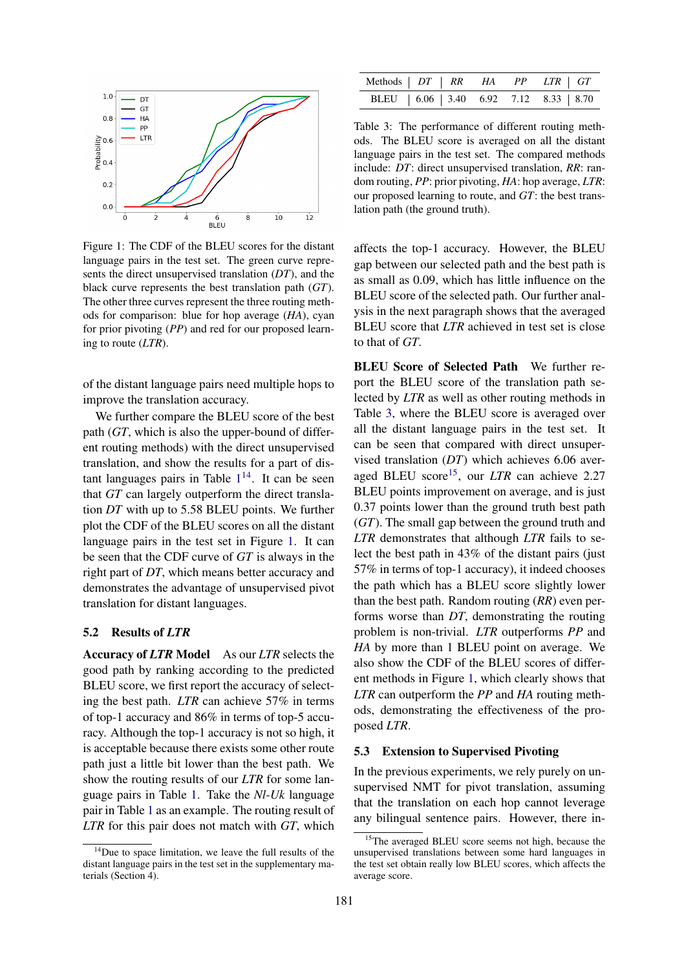<span id="page-6-1"></span>

Figure 1: The CDF of the BLEU scores for the distant language pairs in the test set. The green curve represents the direct unsupervised translation (*DT*), and the black curve represents the best translation path (*GT*). The other three curves represent the three routing methods for comparison: blue for hop average (*HA*), cyan for prior pivoting (*PP*) and red for our proposed learning to route (*LTR*).

of the distant language pairs need multiple hops to improve the translation accuracy.

We further compare the BLEU score of the best path (*GT*, which is also the upper-bound of different routing methods) with the direct unsupervised translation, and show the results for a part of distant languages pairs in Table  $1^{14}$  $1^{14}$  $1^{14}$  $1^{14}$ . It can be seen that *GT* can largely outperform the direct translation *DT* with up to 5.58 BLEU points. We further plot the CDF of the BLEU scores on all the distant language pairs in the test set in Figure [1.](#page-6-1) It can be seen that the CDF curve of *GT* is always in the right part of *DT*, which means better accuracy and demonstrates the advantage of unsupervised pivot translation for distant languages.

#### 5.2 Results of *LTR*

Accuracy of *LTR* Model As our *LTR* selects the good path by ranking according to the predicted BLEU score, we first report the accuracy of selecting the best path. *LTR* can achieve 57% in terms of top-1 accuracy and 86% in terms of top-5 accuracy. Although the top-1 accuracy is not so high, it is acceptable because there exists some other route path just a little bit lower than the best path. We show the routing results of our *LTR* for some language pairs in Table [1.](#page-5-1) Take the *Nl-Uk* language pair in Table [1](#page-5-1) as an example. The routing result of *LTR* for this pair does not match with *GT*, which

<span id="page-6-2"></span>

|  |  | Methods   DT   RR HA PP LTR   GT            |
|--|--|---------------------------------------------|
|  |  | BLEU   6.06   3.40  6.92  7.12  8.33   8.70 |

Table 3: The performance of different routing methods. The BLEU score is averaged on all the distant language pairs in the test set. The compared methods include: *DT*: direct unsupervised translation, *RR*: random routing, *PP*: prior pivoting, *HA*: hop average, *LTR*: our proposed learning to route, and *GT*: the best translation path (the ground truth).

affects the top-1 accuracy. However, the BLEU gap between our selected path and the best path is as small as 0.09, which has little influence on the BLEU score of the selected path. Our further analysis in the next paragraph shows that the averaged BLEU score that *LTR* achieved in test set is close to that of *GT*.

BLEU Score of Selected Path We further report the BLEU score of the translation path selected by *LTR* as well as other routing methods in Table [3,](#page-6-2) where the BLEU score is averaged over all the distant language pairs in the test set. It can be seen that compared with direct unsupervised translation (*DT*) which achieves 6.06 aver-aged BLEU score<sup>[15](#page-6-3)</sup>, our *LTR* can achieve 2.27 BLEU points improvement on average, and is just 0.37 points lower than the ground truth best path (*GT*). The small gap between the ground truth and *LTR* demonstrates that although *LTR* fails to select the best path in 43% of the distant pairs (just 57% in terms of top-1 accuracy), it indeed chooses the path which has a BLEU score slightly lower than the best path. Random routing (*RR*) even performs worse than *DT*, demonstrating the routing problem is non-trivial. *LTR* outperforms *PP* and *HA* by more than 1 BLEU point on average. We also show the CDF of the BLEU scores of different methods in Figure [1,](#page-6-1) which clearly shows that *LTR* can outperform the *PP* and *HA* routing methods, demonstrating the effectiveness of the proposed *LTR*.

#### 5.3 Extension to Supervised Pivoting

In the previous experiments, we rely purely on unsupervised NMT for pivot translation, assuming that the translation on each hop cannot leverage any bilingual sentence pairs. However, there in-

<span id="page-6-0"></span><sup>&</sup>lt;sup>14</sup>Due to space limitation, we leave the full results of the distant language pairs in the test set in the supplementary materials (Section 4).

<span id="page-6-3"></span><sup>&</sup>lt;sup>15</sup>The averaged BLEU score seems not high, because the unsupervised translations between some hard languages in the test set obtain really low BLEU scores, which affects the average score.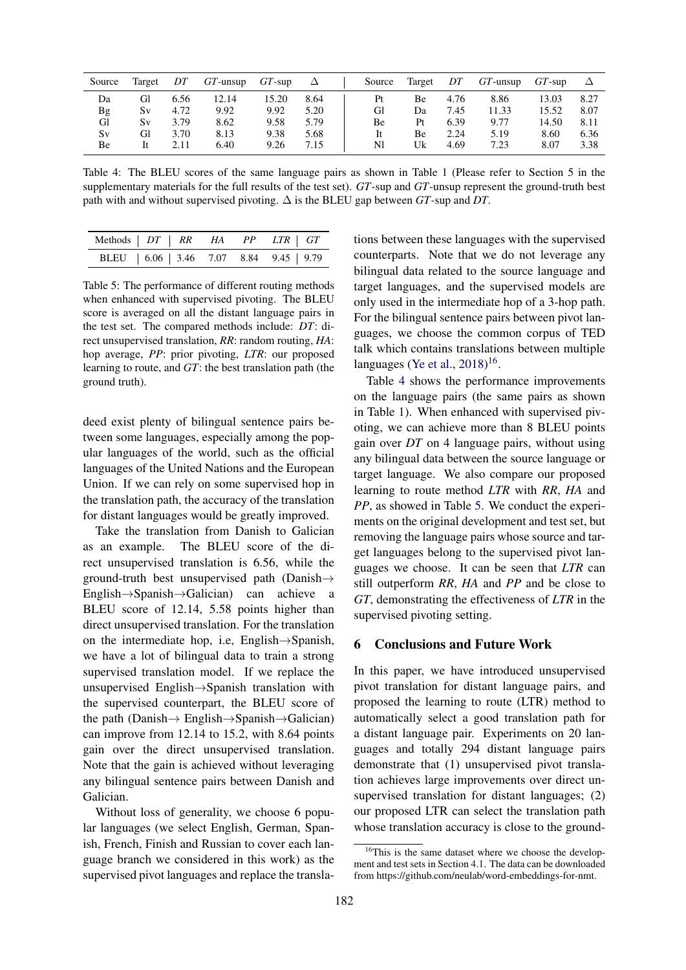<span id="page-7-1"></span>

| Source | Target | DT   | $GT$ -unsup | $GT$ -sup | Δ    | Source | Target | DT   | $GT$ -unsup | $GT$ -sup |      |
|--------|--------|------|-------------|-----------|------|--------|--------|------|-------------|-----------|------|
| Da     | Gl     | 6.56 | 12.14       | 15.20     | 8.64 | Pt     | Вe     | 4.76 | 8.86        | 13.03     | 8.27 |
| Bg     | Sv     | 4.72 | 9.92        | 9.92      | 5.20 | Gl     | Da     | 7.45 | 11.33       | 15.52     | 8.07 |
| Gl     | Sv     | 3.79 | 8.62        | 9.58      | 5.79 | Вe     | Pt     | 6.39 | 9.77        | 14.50     | 8.11 |
| Sv     | Gl     | 3.70 | 8.13        | 9.38      | 5.68 | It     | Вe     | 2.24 | 5.19        | 8.60      | 6.36 |
| Вe     |        | 2.11 | 6.40        | 9.26      | 7.15 | Nl     | Uk     | 4.69 | 7.23        | 8.07      | 3.38 |

Table 4: The BLEU scores of the same language pairs as shown in Table [1](#page-5-1) (Please refer to Section 5 in the supplementary materials for the full results of the test set). *GT*-sup and *GT*-unsup represent the ground-truth best path with and without supervised pivoting. ∆ is the BLEU gap between *GT*-sup and *DT*.

<span id="page-7-2"></span>

|  |  | BLEU   6.06   3.46 7.07 8.84 9.45   9.79 |
|--|--|------------------------------------------|

Table 5: The performance of different routing methods when enhanced with supervised pivoting. The BLEU score is averaged on all the distant language pairs in the test set. The compared methods include: *DT*: direct unsupervised translation, *RR*: random routing, *HA*: hop average, *PP*: prior pivoting, *LTR*: our proposed learning to route, and *GT*: the best translation path (the ground truth).

deed exist plenty of bilingual sentence pairs between some languages, especially among the popular languages of the world, such as the official languages of the United Nations and the European Union. If we can rely on some supervised hop in the translation path, the accuracy of the translation for distant languages would be greatly improved.

Take the translation from Danish to Galician as an example. The BLEU score of the direct unsupervised translation is 6.56, while the ground-truth best unsupervised path (Danish $\rightarrow$ English→Spanish→Galician) can achieve a BLEU score of 12.14, 5.58 points higher than direct unsupervised translation. For the translation on the intermediate hop, i.e, English→Spanish, we have a lot of bilingual data to train a strong supervised translation model. If we replace the unsupervised English→Spanish translation with the supervised counterpart, the BLEU score of the path (Danish→ English→Spanish→Galician) can improve from 12.14 to 15.2, with 8.64 points gain over the direct unsupervised translation. Note that the gain is achieved without leveraging any bilingual sentence pairs between Danish and Galician.

Without loss of generality, we choose 6 popular languages (we select English, German, Spanish, French, Finish and Russian to cover each language branch we considered in this work) as the supervised pivot languages and replace the translations between these languages with the supervised counterparts. Note that we do not leverage any bilingual data related to the source language and target languages, and the supervised models are only used in the intermediate hop of a 3-hop path. For the bilingual sentence pairs between pivot languages, we choose the common corpus of TED talk which contains translations between multiple languages [\(Ye et al.,](#page-8-17) [2018\)](#page-8-17)<sup>[16](#page-7-0)</sup>.

Table [4](#page-7-1) shows the performance improvements on the language pairs (the same pairs as shown in Table [1\)](#page-5-1). When enhanced with supervised pivoting, we can achieve more than 8 BLEU points gain over *DT* on 4 language pairs, without using any bilingual data between the source language or target language. We also compare our proposed learning to route method *LTR* with *RR*, *HA* and *PP*, as showed in Table [5.](#page-7-2) We conduct the experiments on the original development and test set, but removing the language pairs whose source and target languages belong to the supervised pivot languages we choose. It can be seen that *LTR* can still outperform *RR*, *HA* and *PP* and be close to *GT*, demonstrating the effectiveness of *LTR* in the supervised pivoting setting.

## 6 Conclusions and Future Work

In this paper, we have introduced unsupervised pivot translation for distant language pairs, and proposed the learning to route (LTR) method to automatically select a good translation path for a distant language pair. Experiments on 20 languages and totally 294 distant language pairs demonstrate that (1) unsupervised pivot translation achieves large improvements over direct unsupervised translation for distant languages; (2) our proposed LTR can select the translation path whose translation accuracy is close to the ground-

<span id="page-7-0"></span><sup>&</sup>lt;sup>16</sup>This is the same dataset where we choose the development and test sets in Section [4.1.](#page-4-9) The data can be downloaded from https://github.com/neulab/word-embeddings-for-nmt.